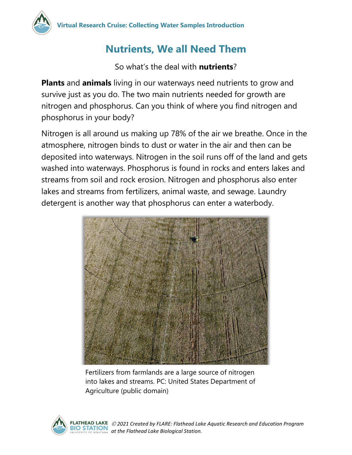## **Nutrients, We all Need Them**

So what's the deal with **nutrients**?

**Plants** and **animals** living in our waterways need nutrients to grow and survive just as you do. The two main nutrients needed for growth are nitrogen and phosphorus. Can you think of where you find nitrogen and phosphorus in your body?

Nitrogen is all around us making up 78% of the air we breathe. Once in the atmosphere, nitrogen binds to dust or water in the air and then can be deposited into waterways. Nitrogen in the soil runs off of the land and gets washed into waterways. Phosphorus is found in rocks and enters lakes and streams from soil and rock erosion. Nitrogen and phosphorus also enter lakes and streams from fertilizers, animal waste, and sewage. Laundry detergent is another way that phosphorus can enter a waterbody.



Fertilizers from farmlands are a large source of nitrogen into lakes and streams. PC: United States Department of Agriculture (public domain)